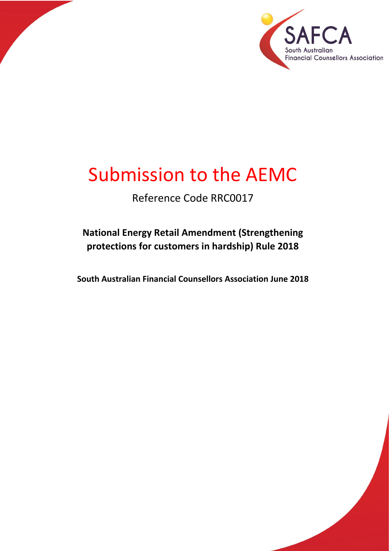

1 P a g e

# Submission to the AEMC

Reference Code RRC0017

**National Energy Retail Amendment (Strengthening protections for customers in hardship) Rule 2018**

**South Australian Financial Counsellors Association June 2018**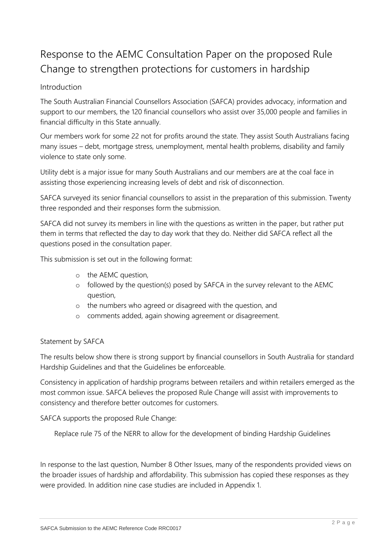# Response to the AEMC Consultation Paper on the proposed Rule Change to strengthen protections for customers in hardship

# Introduction

The South Australian Financial Counsellors Association (SAFCA) provides advocacy, information and support to our members, the 120 financial counsellors who assist over 35,000 people and families in financial difficulty in this State annually.

Our members work for some 22 not for profits around the state. They assist South Australians facing many issues – debt, mortgage stress, unemployment, mental health problems, disability and family violence to state only some.

Utility debt is a major issue for many South Australians and our members are at the coal face in assisting those experiencing increasing levels of debt and risk of disconnection.

SAFCA surveyed its senior financial counsellors to assist in the preparation of this submission. Twenty three responded and their responses form the submission.

SAFCA did not survey its members in line with the questions as written in the paper, but rather put them in terms that reflected the day to day work that they do. Neither did SAFCA reflect all the questions posed in the consultation paper.

This submission is set out in the following format:

- o the AEMC question,
- o followed by the question(s) posed by SAFCA in the survey relevant to the AEMC question,
- o the numbers who agreed or disagreed with the question, and
- o comments added, again showing agreement or disagreement.

#### Statement by SAFCA

The results below show there is strong support by financial counsellors in South Australia for standard Hardship Guidelines and that the Guidelines be enforceable.

Consistency in application of hardship programs between retailers and within retailers emerged as the most common issue. SAFCA believes the proposed Rule Change will assist with improvements to consistency and therefore better outcomes for customers.

SAFCA supports the proposed Rule Change:

Replace rule 75 of the NERR to allow for the development of binding Hardship Guidelines

In response to the last question, Number 8 Other Issues, many of the respondents provided views on the broader issues of hardship and affordability. This submission has copied these responses as they were provided. In addition nine case studies are included in Appendix 1.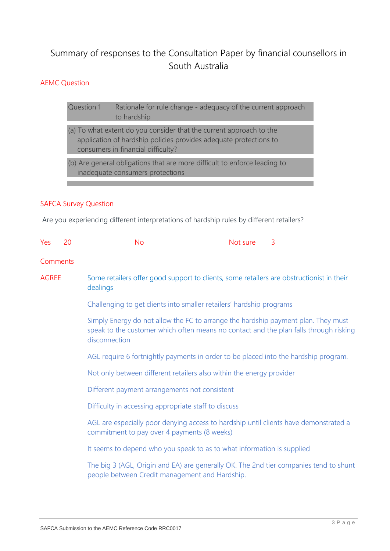# Summary of responses to the Consultation Paper by financial counsellors in South Australia

## AEMC Question

Question 1 Rationale for rule change - adequacy of the current approach to hardship

- (a) To what extent do you consider that the current approach to the application of hardship policies provides adequate protections to consumers in financial difficulty?
- (b) Are general obligations that are more difficult to enforce leading to inadequate consumers protections

#### SAFCA Survey Question

Are you experiencing different interpretations of hardship rules by different retailers?

| Yes          | 20 | <b>No</b>                                                                                                                                                                                   | Not sure | $\overline{3}$ |  |
|--------------|----|---------------------------------------------------------------------------------------------------------------------------------------------------------------------------------------------|----------|----------------|--|
| Comments     |    |                                                                                                                                                                                             |          |                |  |
| <b>AGREE</b> |    | Some retailers offer good support to clients, some retailers are obstructionist in their<br>dealings                                                                                        |          |                |  |
|              |    | Challenging to get clients into smaller retailers' hardship programs                                                                                                                        |          |                |  |
|              |    | Simply Energy do not allow the FC to arrange the hardship payment plan. They must<br>speak to the customer which often means no contact and the plan falls through risking<br>disconnection |          |                |  |
|              |    | AGL require 6 fortnightly payments in order to be placed into the hardship program.                                                                                                         |          |                |  |
|              |    | Not only between different retailers also within the energy provider                                                                                                                        |          |                |  |
|              |    | Different payment arrangements not consistent                                                                                                                                               |          |                |  |
|              |    | Difficulty in accessing appropriate staff to discuss                                                                                                                                        |          |                |  |
|              |    | AGL are especially poor denying access to hardship until clients have demonstrated a<br>commitment to pay over 4 payments (8 weeks)                                                         |          |                |  |
|              |    | It seems to depend who you speak to as to what information is supplied                                                                                                                      |          |                |  |
|              |    | The big 3 (AGL, Origin and EA) are generally OK. The 2nd tier companies tend to shunt<br>people between Credit management and Hardship.                                                     |          |                |  |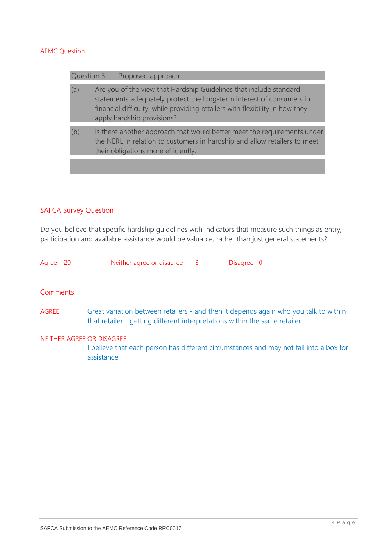| Question 3 | Proposed approach                                                                                                                                                                                                                                        |
|------------|----------------------------------------------------------------------------------------------------------------------------------------------------------------------------------------------------------------------------------------------------------|
| (a)        | Are you of the view that Hardship Guidelines that include standard<br>statements adequately protect the long-term interest of consumers in<br>financial difficulty, while providing retailers with flexibility in how they<br>apply hardship provisions? |
| (b)        | Is there another approach that would better meet the requirements under<br>the NERL in relation to customers in hardship and allow retailers to meet<br>their obligations more efficiently.                                                              |
|            |                                                                                                                                                                                                                                                          |

#### SAFCA Survey Question

Do you believe that specific hardship guidelines with indicators that measure such things as entry, participation and available assistance would be valuable, rather than just general statements?

Agree 20 Neither agree or disagree 3 Disagree 0

#### **Comments**

AGREE Great variation between retailers - and then it depends again who you talk to within that retailer - getting different interpretations within the same retailer

#### NEITHER AGREE OR DISAGREE

I believe that each person has different circumstances and may not fall into a box for assistance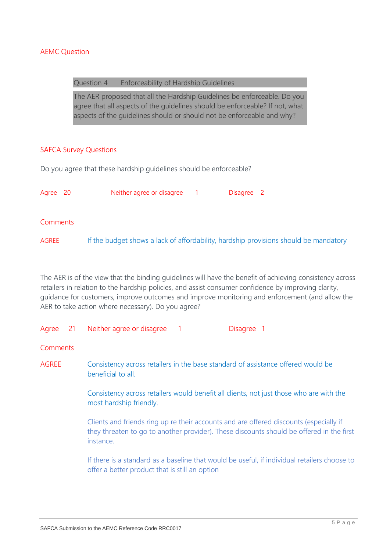#### Question 4 Enforceability of Hardship Guidelines

The AER proposed that all the Hardship Guidelines be enforceable. Do you agree that all aspects of the guidelines should be enforceable? If not, what aspects of the guidelines should or should not be enforceable and why?

#### SAFCA Survey Questions

Do you agree that these hardship guidelines should be enforceable?

| Agree 20 | Neither agree or disagree                                                            | Disagree 2 |  |
|----------|--------------------------------------------------------------------------------------|------------|--|
| Comments |                                                                                      |            |  |
| AGREE    | If the budget shows a lack of affordability, hardship provisions should be mandatory |            |  |

The AER is of the view that the binding guidelines will have the benefit of achieving consistency across retailers in relation to the hardship policies, and assist consumer confidence by improving clarity, guidance for customers, improve outcomes and improve monitoring and enforcement (and allow the AER to take action where necessary). Do you agree?

| Agree 21     |  | Neither agree or disagree<br>Disagree 1<br>$\sqrt{1}$                                                                                                                                           |  |  |
|--------------|--|-------------------------------------------------------------------------------------------------------------------------------------------------------------------------------------------------|--|--|
| Comments     |  |                                                                                                                                                                                                 |  |  |
| <b>AGREE</b> |  | Consistency across retailers in the base standard of assistance offered would be<br>beneficial to all.                                                                                          |  |  |
|              |  | Consistency across retailers would benefit all clients, not just those who are with the<br>most hardship friendly.                                                                              |  |  |
|              |  | Clients and friends ring up re their accounts and are offered discounts (especially if<br>they threaten to go to another provider). These discounts should be offered in the first<br>instance. |  |  |
|              |  | If there is a standard as a baseline that would be useful, if individual retailers choose to<br>offer a better product that is still an option                                                  |  |  |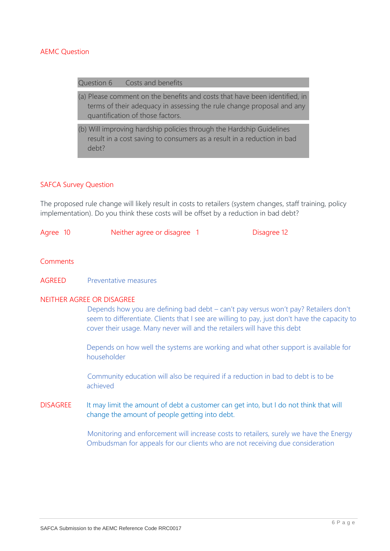#### Question 6 Costs and benefits

- (a) Please comment on the benefits and costs that have been identified, in terms of their adequacy in assessing the rule change proposal and any quantification of those factors.
- (b) Will improving hardship policies through the Hardship Guidelines result in a cost saving to consumers as a result in a reduction in bad debt?

#### SAFCA Survey Question

The proposed rule change will likely result in costs to retailers (system changes, staff training, policy implementation). Do you think these costs will be offset by a reduction in bad debt?

| Agree 10 | Neither agree or disagree | Disagree 12 |
|----------|---------------------------|-------------|
|          |                           |             |

#### Comments

AGREED Preventative measures

#### NEITHER AGREE OR DISAGREE

Depends how you are defining bad debt – can't pay versus won't pay? Retailers don't seem to differentiate. Clients that I see are willing to pay, just don't have the capacity to cover their usage. Many never will and the retailers will have this debt

Depends on how well the systems are working and what other support is available for householder

Community education will also be required if a reduction in bad to debt is to be achieved

DISAGREE It may limit the amount of debt a customer can get into, but I do not think that will change the amount of people getting into debt.

> Monitoring and enforcement will increase costs to retailers, surely we have the Energy Ombudsman for appeals for our clients who are not receiving due consideration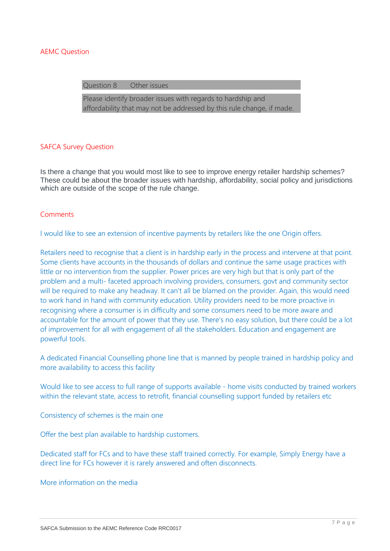Question 8 Other issues

Please identify broader issues with regards to hardship and affordability that may not be addressed by this rule change, if made.

#### SAFCA Survey Question

Is there a change that you would most like to see to improve energy retailer hardship schemes? These could be about the broader issues with hardship, affordability, social policy and jurisdictions which are outside of the scope of the rule change.

#### Comments

I would like to see an extension of incentive payments by retailers like the one Origin offers.

Retailers need to recognise that a client is in hardship early in the process and intervene at that point. Some clients have accounts in the thousands of dollars and continue the same usage practices with little or no intervention from the supplier. Power prices are very high but that is only part of the problem and a multi- faceted approach involving providers, consumers, govt and community sector will be required to make any headway. It can't all be blamed on the provider. Again, this would need to work hand in hand with community education. Utility providers need to be more proactive in recognising where a consumer is in difficulty and some consumers need to be more aware and accountable for the amount of power that they use. There's no easy solution, but there could be a lot of improvement for all with engagement of all the stakeholders. Education and engagement are powerful tools.

A dedicated Financial Counselling phone line that is manned by people trained in hardship policy and more availability to access this facility

Would like to see access to full range of supports available - home visits conducted by trained workers within the relevant state, access to retrofit, financial counselling support funded by retailers etc

Consistency of schemes is the main one

Offer the best plan available to hardship customers.

Dedicated staff for FCs and to have these staff trained correctly. For example, Simply Energy have a direct line for FCs however it is rarely answered and often disconnects.

More information on the media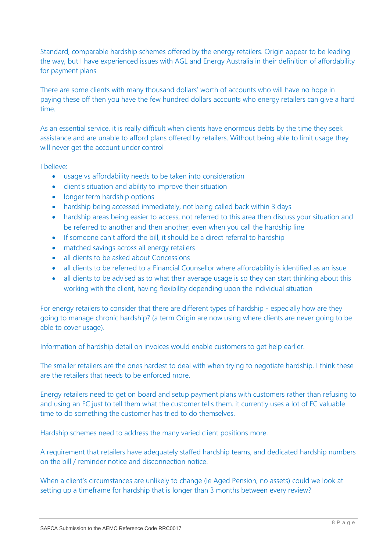Standard, comparable hardship schemes offered by the energy retailers. Origin appear to be leading the way, but I have experienced issues with AGL and Energy Australia in their definition of affordability for payment plans

There are some clients with many thousand dollars' worth of accounts who will have no hope in paying these off then you have the few hundred dollars accounts who energy retailers can give a hard time.

As an essential service, it is really difficult when clients have enormous debts by the time they seek assistance and are unable to afford plans offered by retailers. Without being able to limit usage they will never get the account under control

I believe:

- usage vs affordability needs to be taken into consideration
- client's situation and ability to improve their situation
- longer term hardship options
- hardship being accessed immediately, not being called back within 3 days
- hardship areas being easier to access, not referred to this area then discuss your situation and be referred to another and then another, even when you call the hardship line
- If someone can't afford the bill, it should be a direct referral to hardship
- matched savings across all energy retailers
- all clients to be asked about Concessions
- all clients to be referred to a Financial Counsellor where affordability is identified as an issue
- all clients to be advised as to what their average usage is so they can start thinking about this working with the client, having flexibility depending upon the individual situation

For energy retailers to consider that there are different types of hardship - especially how are they going to manage chronic hardship? (a term Origin are now using where clients are never going to be able to cover usage).

Information of hardship detail on invoices would enable customers to get help earlier.

The smaller retailers are the ones hardest to deal with when trying to negotiate hardship. I think these are the retailers that needs to be enforced more.

Energy retailers need to get on board and setup payment plans with customers rather than refusing to and using an FC just to tell them what the customer tells them. it currently uses a lot of FC valuable time to do something the customer has tried to do themselves.

Hardship schemes need to address the many varied client positions more.

A requirement that retailers have adequately staffed hardship teams, and dedicated hardship numbers on the bill / reminder notice and disconnection notice.

When a client's circumstances are unlikely to change (ie Aged Pension, no assets) could we look at setting up a timeframe for hardship that is longer than 3 months between every review?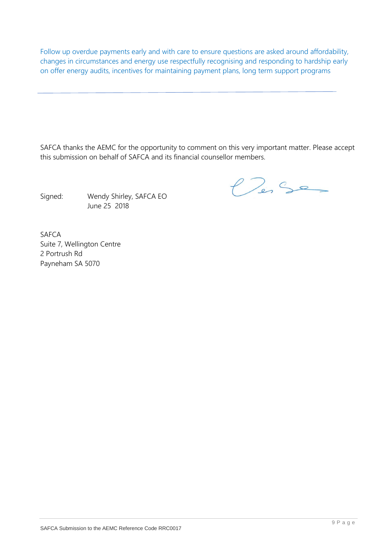Follow up overdue payments early and with care to ensure questions are asked around affordability, changes in circumstances and energy use respectfully recognising and responding to hardship early on offer energy audits, incentives for maintaining payment plans, long term support programs

SAFCA thanks the AEMC for the opportunity to comment on this very important matter. Please accept this submission on behalf of SAFCA and its financial counsellor members.

Signed: Wendy Shirley, SAFCA EO June 25 2018

 $P_{23}$ 

SAFCA Suite 7, Wellington Centre 2 Portrush Rd Payneham SA 5070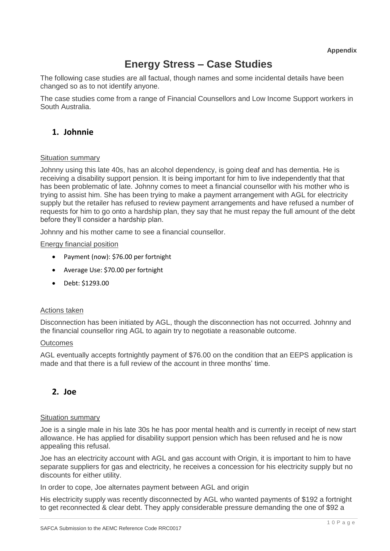**Appendix** 

# **Energy Stress – Case Studies**

The following case studies are all factual, though names and some incidental details have been changed so as to not identify anyone.

The case studies come from a range of Financial Counsellors and Low Income Support workers in South Australia.

# **1. Johnnie**

#### Situation summary

Johnny using this late 40s, has an alcohol dependency, is going deaf and has dementia. He is receiving a disability support pension. It is being important for him to live independently that that has been problematic of late. Johnny comes to meet a financial counsellor with his mother who is trying to assist him. She has been trying to make a payment arrangement with AGL for electricity supply but the retailer has refused to review payment arrangements and have refused a number of requests for him to go onto a hardship plan, they say that he must repay the full amount of the debt before they'll consider a hardship plan.

Johnny and his mother came to see a financial counsellor.

#### Energy financial position

- Payment (now): \$76.00 per fortnight
- Average Use: \$70.00 per fortnight
- Debt: \$1293.00

#### Actions taken

Disconnection has been initiated by AGL, though the disconnection has not occurred. Johnny and the financial counsellor ring AGL to again try to negotiate a reasonable outcome.

#### **Outcomes**

AGL eventually accepts fortnightly payment of \$76.00 on the condition that an EEPS application is made and that there is a full review of the account in three months' time.

# **2. Joe**

#### Situation summary

Joe is a single male in his late 30s he has poor mental health and is currently in receipt of new start allowance. He has applied for disability support pension which has been refused and he is now appealing this refusal.

Joe has an electricity account with AGL and gas account with Origin, it is important to him to have separate suppliers for gas and electricity, he receives a concession for his electricity supply but no discounts for either utility.

In order to cope, Joe alternates payment between AGL and origin

His electricity supply was recently disconnected by AGL who wanted payments of \$192 a fortnight to get reconnected & clear debt. They apply considerable pressure demanding the one of \$92 a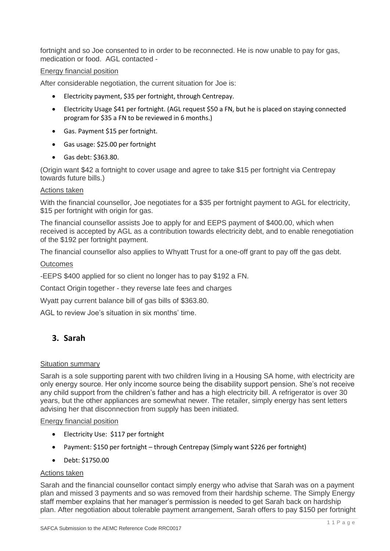fortnight and so Joe consented to in order to be reconnected. He is now unable to pay for gas, medication or food. AGL contacted -

#### Energy financial position

After considerable negotiation, the current situation for Joe is:

- Electricity payment, \$35 per fortnight, through Centrepay.
- Electricity Usage \$41 per fortnight. (AGL request \$50 a FN, but he is placed on staying connected program for \$35 a FN to be reviewed in 6 months.)
- Gas. Payment \$15 per fortnight.
- Gas usage: \$25.00 per fortnight
- Gas debt: \$363.80.

(Origin want \$42 a fortnight to cover usage and agree to take \$15 per fortnight via Centrepay towards future bills.)

#### Actions taken

With the financial counsellor, Joe negotiates for a \$35 per fortnight payment to AGL for electricity, \$15 per fortnight with origin for gas.

The financial counsellor assists Joe to apply for and EEPS payment of \$400.00, which when received is accepted by AGL as a contribution towards electricity debt, and to enable renegotiation of the \$192 per fortnight payment.

The financial counsellor also applies to Whyatt Trust for a one-off grant to pay off the gas debt.

#### **Outcomes**

-EEPS \$400 applied for so client no longer has to pay \$192 a FN.

Contact Origin together - they reverse late fees and charges

Wyatt pay current balance bill of gas bills of \$363.80.

AGL to review Joe's situation in six months' time.

# **3. Sarah**

#### Situation summary

Sarah is a sole supporting parent with two children living in a Housing SA home, with electricity are only energy source. Her only income source being the disability support pension. She's not receive any child support from the children's father and has a high electricity bill. A refrigerator is over 30 years, but the other appliances are somewhat newer. The retailer, simply energy has sent letters advising her that disconnection from supply has been initiated.

#### Energy financial position

- Electricity Use: \$117 per fortnight
- Payment: \$150 per fortnight through Centrepay (Simply want \$226 per fortnight)
- Debt: \$1750.00

#### Actions taken

Sarah and the financial counsellor contact simply energy who advise that Sarah was on a payment plan and missed 3 payments and so was removed from their hardship scheme. The Simply Energy staff member explains that her manager's permission is needed to get Sarah back on hardship plan. After negotiation about tolerable payment arrangement, Sarah offers to pay \$150 per fortnight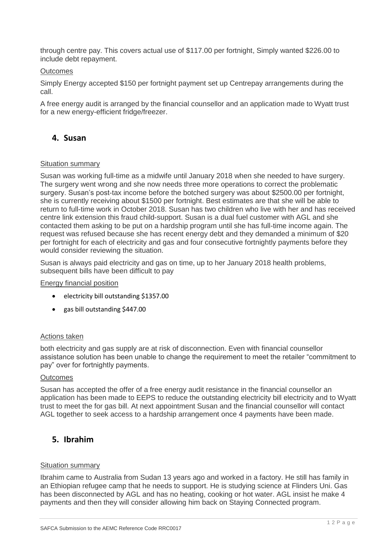through centre pay. This covers actual use of \$117.00 per fortnight, Simply wanted \$226.00 to include debt repayment.

#### **Outcomes**

Simply Energy accepted \$150 per fortnight payment set up Centrepay arrangements during the call.

A free energy audit is arranged by the financial counsellor and an application made to Wyatt trust for a new energy-efficient fridge/freezer.

# **4. Susan**

#### Situation summary

Susan was working full-time as a midwife until January 2018 when she needed to have surgery. The surgery went wrong and she now needs three more operations to correct the problematic surgery. Susan's post-tax income before the botched surgery was about \$2500.00 per fortnight, she is currently receiving about \$1500 per fortnight. Best estimates are that she will be able to return to full-time work in October 2018. Susan has two children who live with her and has received centre link extension this fraud child-support. Susan is a dual fuel customer with AGL and she contacted them asking to be put on a hardship program until she has full-time income again. The request was refused because she has recent energy debt and they demanded a minimum of \$20 per fortnight for each of electricity and gas and four consecutive fortnightly payments before they would consider reviewing the situation.

Susan is always paid electricity and gas on time, up to her January 2018 health problems, subsequent bills have been difficult to pay

Energy financial position

- electricity bill outstanding \$1357.00
- gas bill outstanding \$447.00

#### Actions taken

both electricity and gas supply are at risk of disconnection. Even with financial counsellor assistance solution has been unable to change the requirement to meet the retailer "commitment to pay" over for fortnightly payments.

#### **Outcomes**

Susan has accepted the offer of a free energy audit resistance in the financial counsellor an application has been made to EEPS to reduce the outstanding electricity bill electricity and to Wyatt trust to meet the for gas bill. At next appointment Susan and the financial counsellor will contact AGL together to seek access to a hardship arrangement once 4 payments have been made.

# **5. Ibrahim**

#### Situation summary

Ibrahim came to Australia from Sudan 13 years ago and worked in a factory. He still has family in an Ethiopian refugee camp that he needs to support. He is studying science at Flinders Uni. Gas has been disconnected by AGL and has no heating, cooking or hot water. AGL insist he make 4 payments and then they will consider allowing him back on Staying Connected program.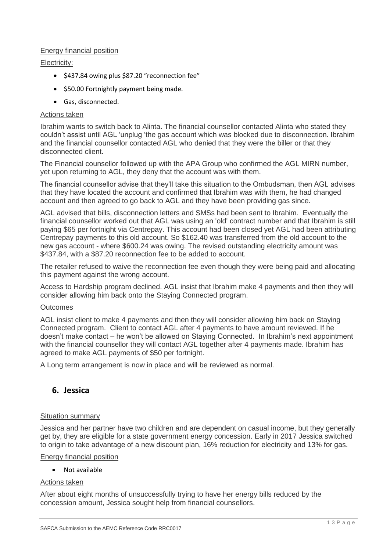#### Energy financial position

#### Electricity:

- \$437.84 owing plus \$87.20 "reconnection fee"
- \$50.00 Fortnightly payment being made.
- Gas, disconnected.

#### Actions taken

Ibrahim wants to switch back to Alinta. The financial counsellor contacted Alinta who stated they couldn't assist until AGL 'unplug 'the gas account which was blocked due to disconnection. Ibrahim and the financial counsellor contacted AGL who denied that they were the biller or that they disconnected client.

The Financial counsellor followed up with the APA Group who confirmed the AGL MIRN number, yet upon returning to AGL, they deny that the account was with them.

The financial counsellor advise that they'll take this situation to the Ombudsman, then AGL advises that they have located the account and confirmed that Ibrahim was with them, he had changed account and then agreed to go back to AGL and they have been providing gas since.

AGL advised that bills, disconnection letters and SMSs had been sent to Ibrahim. Eventually the financial counsellor worked out that AGL was using an 'old' contract number and that Ibrahim is still paying \$65 per fortnight via Centrepay. This account had been closed yet AGL had been attributing Centrepay payments to this old account. So \$162.40 was transferred from the old account to the new gas account - where \$600.24 was owing. The revised outstanding electricity amount was \$437.84, with a \$87.20 reconnection fee to be added to account.

The retailer refused to waive the reconnection fee even though they were being paid and allocating this payment against the wrong account.

Access to Hardship program declined. AGL insist that Ibrahim make 4 payments and then they will consider allowing him back onto the Staying Connected program.

#### **Outcomes**

AGL insist client to make 4 payments and then they will consider allowing him back on Staying Connected program. Client to contact AGL after 4 payments to have amount reviewed. If he doesn't make contact – he won't be allowed on Staying Connected. In Ibrahim's next appointment with the financial counsellor they will contact AGL together after 4 payments made. Ibrahim has agreed to make AGL payments of \$50 per fortnight.

A Long term arrangement is now in place and will be reviewed as normal.

# **6. Jessica**

#### Situation summary

Jessica and her partner have two children and are dependent on casual income, but they generally get by, they are eligible for a state government energy concession. Early in 2017 Jessica switched to origin to take advantage of a new discount plan, 16% reduction for electricity and 13% for gas.

#### Energy financial position

#### • Not available

#### Actions taken

After about eight months of unsuccessfully trying to have her energy bills reduced by the concession amount, Jessica sought help from financial counsellors.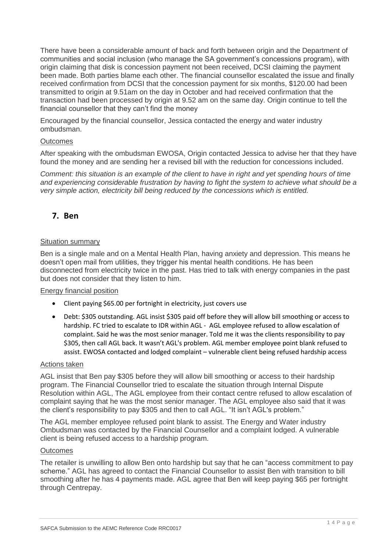There have been a considerable amount of back and forth between origin and the Department of communities and social inclusion (who manage the SA government's concessions program), with origin claiming that disk is concession payment not been received, DCSI claiming the payment been made. Both parties blame each other. The financial counsellor escalated the issue and finally received confirmation from DCSI that the concession payment for six months, \$120.00 had been transmitted to origin at 9.51am on the day in October and had received confirmation that the transaction had been processed by origin at 9.52 am on the same day. Origin continue to tell the financial counsellor that they can't find the money

Encouraged by the financial counsellor, Jessica contacted the energy and water industry ombudsman.

#### **Outcomes**

After speaking with the ombudsman EWOSA, Origin contacted Jessica to advise her that they have found the money and are sending her a revised bill with the reduction for concessions included.

*Comment: this situation is an example of the client to have in right and yet spending hours of time and experiencing considerable frustration by having to fight the system to achieve what should be a very simple action, electricity bill being reduced by the concessions which is entitled.*

## **7. Ben**

#### Situation summary

Ben is a single male and on a Mental Health Plan, having anxiety and depression. This means he doesn't open mail from utilities, they trigger his mental health conditions. He has been disconnected from electricity twice in the past. Has tried to talk with energy companies in the past but does not consider that they listen to him.

#### Energy financial position

- Client paying \$65.00 per fortnight in electricity, just covers use
- Debt: \$305 outstanding. AGL insist \$305 paid off before they will allow bill smoothing or access to hardship. FC tried to escalate to IDR within AGL - AGL employee refused to allow escalation of complaint. Said he was the most senior manager. Told me it was the clients responsibility to pay \$305, then call AGL back. It wasn't AGL's problem. AGL member employee point blank refused to assist. EWOSA contacted and lodged complaint – vulnerable client being refused hardship access

#### Actions taken

AGL insist that Ben pay \$305 before they will allow bill smoothing or access to their hardship program. The Financial Counsellor tried to escalate the situation through Internal Dispute Resolution within AGL, The AGL employee from their contact centre refused to allow escalation of complaint saying that he was the most senior manager. The AGL employee also said that it was the client's responsibility to pay \$305 and then to call AGL. "It isn't AGL's problem."

The AGL member employee refused point blank to assist. The Energy and Water industry Ombudsman was contacted by the Financial Counsellor and a complaint lodged. A vulnerable client is being refused access to a hardship program.

#### **Outcomes**

The retailer is unwilling to allow Ben onto hardship but say that he can "access commitment to pay scheme." AGL has agreed to contact the Financial Counsellor to assist Ben with transition to bill smoothing after he has 4 payments made. AGL agree that Ben will keep paying \$65 per fortnight through Centrepay.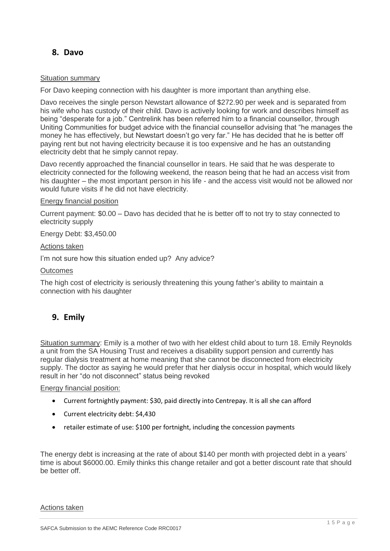# **8. Davo**

#### Situation summary

For Davo keeping connection with his daughter is more important than anything else.

Davo receives the single person Newstart allowance of \$272.90 per week and is separated from his wife who has custody of their child. Davo is actively looking for work and describes himself as being "desperate for a job." Centrelink has been referred him to a financial counsellor, through Uniting Communities for budget advice with the financial counsellor advising that "he manages the money he has effectively, but Newstart doesn't go very far." He has decided that he is better off paying rent but not having electricity because it is too expensive and he has an outstanding electricity debt that he simply cannot repay.

Davo recently approached the financial counsellor in tears. He said that he was desperate to electricity connected for the following weekend, the reason being that he had an access visit from his daughter – the most important person in his life - and the access visit would not be allowed nor would future visits if he did not have electricity.

#### Energy financial position

Current payment: \$0.00 – Davo has decided that he is better off to not try to stay connected to electricity supply

Energy Debt: \$3,450.00

#### Actions taken

I'm not sure how this situation ended up? Any advice?

#### **Outcomes**

The high cost of electricity is seriously threatening this young father's ability to maintain a connection with his daughter

# **9. Emily**

Situation summary: Emily is a mother of two with her eldest child about to turn 18. Emily Reynolds a unit from the SA Housing Trust and receives a disability support pension and currently has regular dialysis treatment at home meaning that she cannot be disconnected from electricity supply. The doctor as saying he would prefer that her dialysis occur in hospital, which would likely result in her "do not disconnect" status being revoked

#### Energy financial position:

- Current fortnightly payment: \$30, paid directly into Centrepay. It is all she can afford
- Current electricity debt: \$4,430
- retailer estimate of use: \$100 per fortnight, including the concession payments

The energy debt is increasing at the rate of about \$140 per month with projected debt in a years' time is about \$6000.00. Emily thinks this change retailer and got a better discount rate that should be better off.

Actions taken